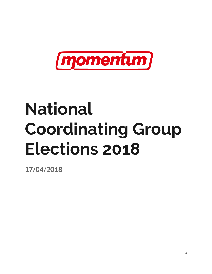

# **National Coordinating Group Elections 2018**

**17/04/2018**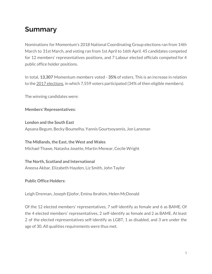# **Summary**

Nominations for Momentum's 2018 National Coordinating Group elections ran from 14th March to 31st March, and voting ran from 1st April to 16th April. 45 candidates competed for 12 members' representatives positions, and 7 Labour elected officials competed for 4 public office holder positions.

In total, **13,307** Momentum members voted - **35%** of voters. This is an increase in relation to the 2017 [elections,](https://d3n8a8pro7vhmx.cloudfront.net/momentum/pages/1/attachments/original/1487349566/NCG2017.pdf) in which 7,559 voters participated (34% of then eligible members).

The winning candidates were:

**Members' Representatives:**

**London and the South East** Apsana Begum, Becky Boumelha, Yannis Gourtsoyannis, Jon Lansman

**The Midlands, the East, the West and Wales** Michael Thawe, Natasha Josette, Martin Menear, Cecile Wright

**The North, Scotland and International** Aneesa Akbar, Elizabeth Hayden, Liz Smith, John Taylor

**Public Office Holders:**

Leigh Drennan, Joseph Ejiofor, Emina Ibrahim, Helen McDonald

Of the 12 elected members' representatives, 7 self-identify as female and 6 as BAME. Of the 4 elected members' representatives, 2 self-identify as female and 2 as BAME. At least 2 of the elected representatives self-identify as LGBT, 1 as disabled, and 3 are under the age of 30. All qualities requirements were thus met.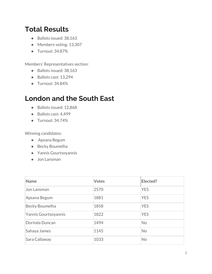# **Total Results**

- Ballots issued: 38,163
- Members voting: 13,307
- Turnout: 34.87%

Members' Representatives section:

- Ballots issued: 38,163
- Ballots cast: 13,294
- Turnout: 34.84%

# **London and the South East**

- Ballots issued: 12,868
- Ballots cast: 4,499
- Turnout: 34.74%

Winning candidates:

- Apsana Begum
- Becky Boumelha
- Yannis Gourtsoyannis
- Jon Lansman

| <b>Name</b>          | <b>Votes</b> | Elected?   |
|----------------------|--------------|------------|
| Jon Lansman          | 2570         | <b>YES</b> |
| Apsana Begum         | 1881         | <b>YES</b> |
| Becky Boumelha       | 1858         | <b>YES</b> |
| Yannis Gourtsoyannis | 1822         | <b>YES</b> |
| Dorinda Duncan       | 1494         | <b>No</b>  |
| Sahaya James         | 1145         | <b>No</b>  |
| Sara Callaway        | 1033         | <b>No</b>  |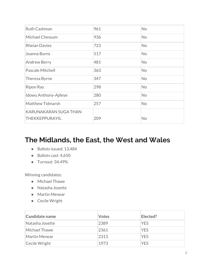| <b>Ruth Cashman</b>                            | 961 | No        |
|------------------------------------------------|-----|-----------|
| Michael Chessum                                | 936 | <b>No</b> |
| <b>Rheian Davies</b>                           | 723 | No        |
| Joanna Burns                                   | 517 | No        |
| <b>Andrew Berry</b>                            | 481 | No        |
| Pascale Mitchell                               | 363 | <b>No</b> |
| Theresa Byrne                                  | 347 | <b>No</b> |
| <b>Ripon Ray</b>                               | 298 | No        |
| Idowu Anthony-Ajileye                          | 280 | No        |
| Matthew Tidmarsh                               | 257 | <b>No</b> |
| <b>KARUNAKARAN SUGA THAN</b><br>THEKKEPPURAYIL | 209 | No        |

### **The Midlands, the East, the West and Wales**

- Ballots issued: 13,484
- Ballots cast: 4,650
- Turnout: 34.49%

Winning candidates:

- Michael Thawe
- Natasha Josette
- Martin Menear
- Cecile Wright

| Candidate name  | <b>Votes</b> | Elected?   |
|-----------------|--------------|------------|
| Natasha Josette | 2389         | <b>YES</b> |
| Michael Thawe   | 2361         | <b>YES</b> |
| Martin Menear   | 2313         | <b>YES</b> |
| Cecile Wright   | 1973         | <b>YES</b> |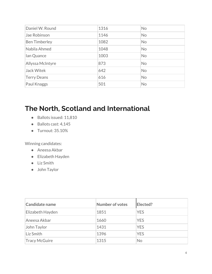| Daniel W. Round      | 1316 | <b>No</b> |
|----------------------|------|-----------|
| Jae Robinson         | 1146 | <b>No</b> |
| <b>Ben Timberley</b> | 1082 | <b>No</b> |
| Nabila Ahmed         | 1048 | <b>No</b> |
| lan Quance           | 1003 | <b>No</b> |
| Allyssa McIntyre     | 873  | <b>No</b> |
| <b>Jack Witek</b>    | 642  | <b>No</b> |
| Terry Deans          | 616  | <b>No</b> |
| Paul Knaggs          | 501  | <b>No</b> |

### **The North, Scotland and International**

- Ballots issued: 11,810
- Ballots cast: 4,145
- Turnout: 35.10%

Winning candidates:

- Aneesa Akbar
- Elizabeth Hayden
- Liz Smith
- John Taylor

| Candidate name       | <b>Number of votes</b> | Elected?   |
|----------------------|------------------------|------------|
| Elizabeth Hayden     | 1851                   | <b>YES</b> |
| Aneesa Akbar         | 1660                   | <b>YES</b> |
| John Taylor          | 1431                   | <b>YES</b> |
| Liz Smith            | 1396                   | <b>YES</b> |
| <b>Tracy McGuire</b> | 1315                   | <b>No</b>  |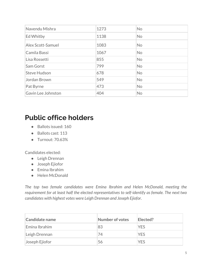| Navendu Mishra      | 1273 | <b>No</b> |
|---------------------|------|-----------|
| Ed Whitby           | 1138 | <b>No</b> |
| Alex Scott-Samuel   | 1083 | <b>No</b> |
| Camila Bassi        | 1067 | <b>No</b> |
| Lisa Rossetti       | 855  | <b>No</b> |
| Sam Gorst           | 799  | <b>No</b> |
| <b>Steve Hudson</b> | 678  | <b>No</b> |
| Jordan Brown        | 549  | <b>No</b> |
| Pat Byrne           | 473  | <b>No</b> |
| Gavin Lee Johnston  | 404  | <b>No</b> |

### **Public office holders**

- Ballots issued: 160
- Ballots cast: 113
- Turnout: 70.63%

Candidates elected:

- Leigh Drennan
- Joseph Ejiofor
- Emina Ibrahim
- Helen McDonald

*The top two female candidates were Emina Ibrahim and Helen McDonald, meeting the requirement for at least half the elected representatives to self-identify as female. The next two candidates with highest votes were Leigh Drennan and Joseph Ejiofor.*

| Candidate name | Number of votes | Elected?   |
|----------------|-----------------|------------|
| Emina Ibrahim  | 83              | <b>YES</b> |
| Leigh Drennan  | 74              | <b>YES</b> |
| Joseph Ejiofor | 56              | <b>YES</b> |